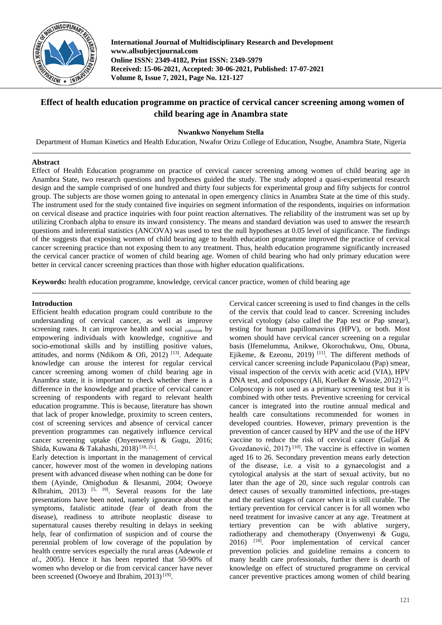

**International Journal of Multidisciplinary Research and Development www.allsubjectjournal.com Online ISSN: 2349-4182, Print ISSN: 2349-5979 Received: 15-06-2021, Accepted: 30-06-2021, Published: 17-07-2021 Volume 8, Issue 7, 2021, Page No. 121-127**

# **Effect of health education programme on practice of cervical cancer screening among women of child bearing age in Anambra state**

# **Nwankwo Nonyelum Stella**

Department of Human Kinetics and Health Education, Nwafor Orizu College of Education, Nsugbe, Anambra State, Nigeria

# **Abstract**

Effect of Health Education programme on practice of cervical cancer screening among women of child bearing age in Anambra State, two research questions and hypotheses guided the study. The study adopted a quasi-experimental research design and the sample comprised of one hundred and thirty four subjects for experimental group and fifty subjects for control group. The subjects are those women going to antenatal in open emergency clinics in Anambra State at the time of this study. The instrument used for the study contained five inquiries on segment information of the respondents, inquiries on information on cervical disease and practice inquiries with four point reaction alternatives. The reliability of the instrument was set up by utilizing Cronbach alpha to ensure its inward consistency. The means and standard deviation was used to answer the research questions and inferential statistics (ANCOVA) was used to test the null hypotheses at 0.05 level of significance. The findings of the suggests that exposing women of child bearing age to health education programme improved the practice of cervical cancer screening practice than not exposing them to any treatment. Thus, health education programme significantly increased the cervical cancer practice of women of child bearing age. Women of child bearing who had only primary education were better in cervical cancer screening practices than those with higher education qualifications.

**Keywords:** health education programme, knowledge, cervical cancer practice, women of child bearing age

# **Introduction**

Efficient health education program could contribute to the understanding of cervical cancer, as well as improve screening rates. It can improve health and social cohesion by empowering individuals with knowledge, cognitive and socio-emotional skills and by instilling positive values, attitudes, and norms (Ndikom & Ofi, 2012)<sup>[13]</sup>. Adequate knowledge can arouse the interest for regular cervical cancer screening among women of child bearing age in Anambra state, it is important to check whether there is a difference in the knowledge and practice of cervical cancer screening of respondents with regard to relevant health education programme. This is because, literature has shown that lack of proper knowledge, proximity to screen centers, cost of screening services and absence of cervical cancer prevention programmes can negatively influence cervical cancer screening uptake (Onyenwenyi & Gugu, 2016; Shida, Kuwana & Takahashi, 2018)<sup>[18, 21,]</sup>.

Early detection is important in the management of cervical cancer, however most of the women in developing nations present with advanced disease when nothing can be done for them (Ayinde, Omigbodun & Ilesanmi, 2004; Owoeye &Ibrahim, 2013)<sup>[5, 19]</sup>. Several reasons for the late presentations have been noted, namely ignorance about the symptoms, fatalistic attitude (fear of death from the disease), readiness to attribute neoplastic disease to supernatural causes thereby resulting in delays in seeking help, fear of confirmation of suspicion and of course the perennial problem of low coverage of the population by health centre services especially the rural areas (Adewole *et al*., 2005). Hence it has been reported that 50-90% of women who develop or die from cervical cancer have never been screened (Owoeye and Ibrahim, 2013)<sup>[19]</sup>.

Cervical cancer screening is used to find changes in the cells of the cervix that could lead to cancer. Screening includes cervical cytology (also called the Pap test or Pap smear), testing for human papillomavirus (HPV), or both. Most women should have cervical cancer screening on a regular basis (Ifemelumma, Anikwe, Okorochukwu, Onu, Obuna, Ejikeme, & Ezeonu, 2019)<sup>[11]</sup>. The different methods of cervical cancer screening include Papanicolaou (Pap) smear, visual inspection of the cervix with acetic acid (VIA), HPV DNA test, and colposcopy (Ali, Kuelker & Wassie, 2012)<sup>[2]</sup>. Colposcopy is not used as a primary screening test but it is combined with other tests. Preventive screening for cervical cancer is integrated into the routine annual medical and health care consultations recommended for women in developed countries. However, primary prevention is the prevention of cancer caused by HPV and the use of the HPV vaccine to reduce the risk of cervical cancer (Guljaš & Gvozdanović,  $2017$ )<sup>[10]</sup>. The vaccine is effective in women aged 16 to 26. Secondary prevention means early detection of the disease, i.e. a visit to a gynaecologist and a cytological analysis at the start of sexual activity, but no later than the age of 20, since such regular controls can detect causes of sexually transmitted infections, pre-stages and the earliest stages of cancer when it is still curable. The tertiary prevention for cervical cancer is for all women who need treatment for invasive cancer at any age. Treatment at tertiary prevention can be with ablative surgery, radiotherapy and chemotherapy (Onyenwenyi & Gugu, 2016) [18] . Poor implementation of cervical cancer prevention policies and guideline remains a concern to many health care professionals, further there is dearth of knowledge on effect of structured programme on cervical cancer preventive practices among women of child bearing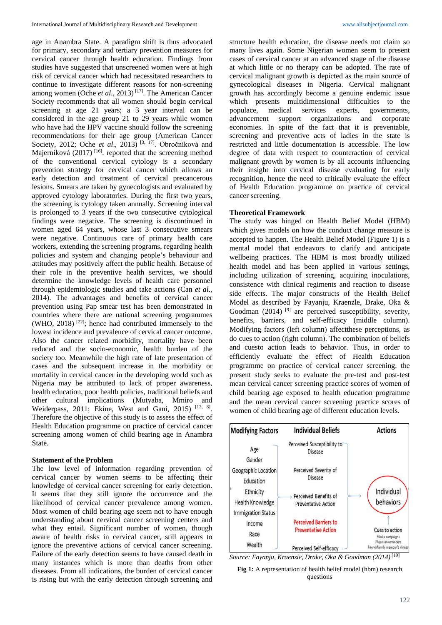age in Anambra State. A paradigm shift is thus advocated for primary, secondary and tertiary prevention measures for cervical cancer through health education. Findings from studies have suggested that unscreened women were at high risk of cervical cancer which had necessitated researchers to continue to investigate different reasons for non-screening among women (Oche et al., 2013)<sup>[17]</sup>. The American Cancer Society recommends that all women should begin cervical screening at age 21 years; a 3 year interval can be considered in the age group 21 to 29 years while women who have had the HPV vaccine should follow the screening recommendations for their age group (American Cancer Society, 2012; Oche et al., 2013)<sup>[3, 17]</sup>. Obročníková and Majerníková  $(2017)$ <sup>[16]</sup>. reported that the screening method of the conventional cervical cytology is a secondary prevention strategy for cervical cancer which allows an early detection and treatment of cervical precancerous lesions. Smears are taken by gynecologists and evaluated by approved cytology laboratories. During the first two years, the screening is cytology taken annually. Screening interval is prolonged to 3 years if the two consecutive cytological findings were negative. The screening is discontinued in women aged 64 years, whose last 3 consecutive smears were negative. Continuous care of primary health care workers, extending the screening programs, regarding health policies and system and changing people's behaviour and attitudes may positively affect the public health. Because of their role in the preventive health services, we should determine the knowledge levels of health care personnel through epidemiologic studies and take actions (Can *et al*., 2014). The advantages and benefits of cervical cancer prevention using Pap smear test has been demonstrated in countries where there are national screening programmes  $(WHO, 2018)$ <sup>[22]</sup>; hence had contributed immensely to the lowest incidence and prevalence of cervical cancer outcome. Also the cancer related morbidity, mortality have been reduced and the socio-economic, health burden of the society too. Meanwhile the high rate of late presentation of cases and the subsequent increase in the morbidity or mortality in cervical cancer in the developing world such as Nigeria may be attributed to lack of proper awareness, health education, poor health policies, traditional beliefs and other cultural implications (Mutyaba, Mmiro and Weiderpass, 2011; Ekine, West and Gani, 2015)<sup>[12, 8]</sup>. Therefore the objective of this study is to assess the effect of Health Education programme on practice of cervical cancer screening among women of child bearing age in Anambra State.

#### **Statement of the Problem**

The low level of information regarding prevention of cervical cancer by women seems to be affecting their knowledge of cervical cancer screening for early detection. It seems that they still ignore the occurrence and the likelihood of cervical cancer prevalence among women. Most women of child bearing age seem not to have enough understanding about cervical cancer screening centers and what they entail. Significant number of women, though aware of health risks in cervical cancer, still appears to ignore the preventive actions of cervical cancer screening. Failure of the early detection seems to have caused death in many instances which is more than deaths from other diseases. From all indications, the burden of cervical cancer is rising but with the early detection through screening and

structure health education, the disease needs not claim so many lives again. Some Nigerian women seem to present cases of cervical cancer at an advanced stage of the disease at which little or no therapy can be adopted. The rate of cervical malignant growth is depicted as the main source of gynecological diseases in Nigeria. Cervical malignant growth has accordingly become a genuine endemic issue which presents multidimensional difficulties to the populace, medical services experts, governments, advancement support organizations and corporate economies. In spite of the fact that it is preventable, screening and preventive acts of ladies in the state is restricted and little documentation is accessible. The low degree of data with respect to counteraction of cervical malignant growth by women is by all accounts influencing their insight into cervical disease evaluating for early recognition, hence the need to critically evaluate the effect of Health Education programme on practice of cervical cancer screening.

#### **Theoretical Framework**

The study was hinged on Health Belief Model (HBM) which gives models on how the conduct change measure is accepted to happen. The Health Belief Model (Figure 1) is a mental model that endeavors to clarify and anticipate wellbeing practices. The HBM is most broadly utilized health model and has been applied in various settings, including utilization of screening, acquiring inoculations, consistence with clinical regiments and reaction to disease side effects. The major constructs of the Health Belief Model as described by Fayanju, Kraenzle, Drake, Oka & Goodman  $(2014)$ <sup>[9]</sup> are perceived susceptibility, severity, benefits, barriers, and self-efficacy (middle column). Modifying factors (left column) affectthese perceptions, as do cues to action (right column). The combination of beliefs and cuesto action leads to behavior. Thus, in order to efficiently evaluate the effect of Health Education programme on practice of cervical cancer screening, the present study seeks to evaluate the pre-test and post-test mean cervical cancer screening practice scores of women of child bearing age exposed to health education programme and the mean cervical cancer screening practice scores of women of child bearing age of different education levels.



*Source: Fayanju, Kraenzle, Drake, Oka & Goodman (2014)* [19]

**Fig 1:** A representation of health belief model (hbm) research questions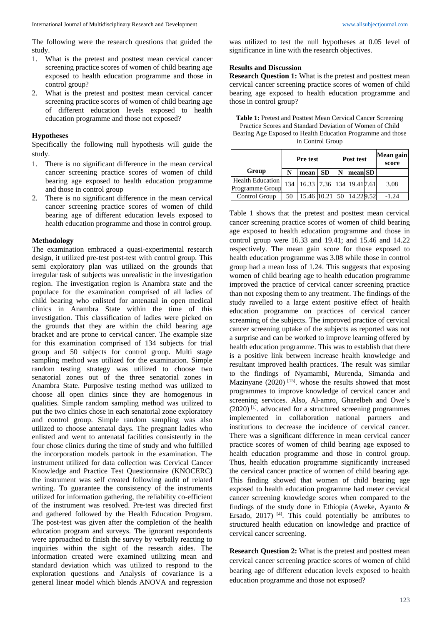The following were the research questions that guided the study.

- 1. What is the pretest and posttest mean cervical cancer screening practice scores of women of child bearing age exposed to health education programme and those in control group?
- 2. What is the pretest and posttest mean cervical cancer screening practice scores of women of child bearing age of different education levels exposed to health education programme and those not exposed?

#### **Hypotheses**

Specifically the following null hypothesis will guide the study.

- 1. There is no significant difference in the mean cervical cancer screening practice scores of women of child bearing age exposed to health education programme and those in control group
- 2. There is no significant difference in the mean cervical cancer screening practice scores of women of child bearing age of different education levels exposed to health education programme and those in control group.

#### **Methodology**

The examination embraced a quasi-experimental research design, it utilized pre-test post-test with control group. This semi exploratory plan was utilized on the grounds that irregular task of subjects was unrealistic in the investigation region. The investigation region is Anambra state and the populace for the examination comprised of all ladies of child bearing who enlisted for antenatal in open medical clinics in Anambra State within the time of this investigation. This classification of ladies were picked on the grounds that they are within the child bearing age bracket and are prone to cervical cancer. The example size for this examination comprised of 134 subjects for trial group and 50 subjects for control group. Multi stage sampling method was utilized for the examination. Simple random testing strategy was utilized to choose two senatorial zones out of the three senatorial zones in Anambra State. Purposive testing method was utilized to choose all open clinics since they are homogenous in qualities. Simple random sampling method was utilized to put the two clinics chose in each senatorial zone exploratory and control group. Simple random sampling was also utilized to choose antenatal days. The pregnant ladies who enlisted and went to antenatal facilities consistently in the four chose clinics during the time of study and who fulfilled the incorporation models partook in the examination. The instrument utilized for data collection was Cervical Cancer Knowledge and Practice Test Questionnaire (KNOCERC) the instrument was self created following audit of related writing. To guarantee the consistency of the instruments utilized for information gathering, the reliability co-efficient of the instrument was resolved. Pre-test was directed first and gathered followed by the Health Education Program. The post-test was given after the completion of the health education program and surveys. The ignorant respondents were approached to finish the survey by verbally reacting to inquiries within the sight of the research aides. The information created were examined utilizing mean and standard deviation which was utilized to respond to the exploration questions and Analysis of covariance is a general linear model which blends ANOVA and regression was utilized to test the null hypotheses at 0.05 level of significance in line with the research objectives.

#### **Results and Discussion**

**Research Question 1:** What is the pretest and posttest mean cervical cancer screening practice scores of women of child bearing age exposed to health education programme and those in control group?

**Table 1:** Pretest and Posttest Mean Cervical Cancer Screening Practice Scores and Standard Deviation of Women of Child Bearing Age Exposed to Health Education Programme and those in Control Group

|                                     | <b>Pre test</b> |                                         |           | Post test |         |  | Mean gain<br>score |  |
|-------------------------------------|-----------------|-----------------------------------------|-----------|-----------|---------|--|--------------------|--|
| Group                               | N               | mean                                    | <b>SD</b> | N         | mean SD |  |                    |  |
| Health Education<br>Programme Group |                 | 134   16.33   7.36   134   19.41   7.61 |           |           |         |  | 3.08               |  |
| Control Group                       | 50              | $\mid$ 15.46 $\mid$ 10.21 50 14.229.52  |           |           |         |  | $-1.24$            |  |

Table 1 shows that the pretest and posttest mean cervical cancer screening practice scores of women of child bearing age exposed to health education programme and those in control group were 16.33 and 19.41; and 15.46 and 14.22 respectively. The mean gain score for those exposed to health education programme was 3.08 while those in control group had a mean loss of 1.24. This suggests that exposing women of child bearing age to health education programme improved the practice of cervical cancer screening practice than not exposing them to any treatment. The findings of the study ravelled to a large extent positive effect of health education programme on practices of cervical cancer screaming of the subjects. The improved practice of cervical cancer screening uptake of the subjects as reported was not a surprise and can be worked to improve learning offered by health education programme. This was to establish that there is a positive link between increase health knowledge and resultant improved health practices. The result was similar to the findings of Nyamambi, Murenda, Simanda and Mazinyane  $(2020)$ <sup>[15]</sup>. whose the results showed that most programmes to improve knowledge of cervical cancer and screening services. Also, Al-amro, Gharelbeh and Owe's (2020) [1] . advocated for a structured screening programmes implemented in collaboration national partners and institutions to decrease the incidence of cervical cancer. There was a significant difference in mean cervical cancer practice scores of women of child bearing age exposed to health education programme and those in control group. Thus, health education programme significantly increased the cervical cancer practice of women of child bearing age. This finding showed that women of child bearing age exposed to health education programme had meter cervical cancer screening knowledge scores when compared to the findings of the study done in Ethiopia (Aweke, Ayanto & Ersado,  $2017$ )<sup>[4]</sup>. This could potentially be attributes to structured health education on knowledge and practice of cervical cancer screening.

**Research Question 2:** What is the pretest and posttest mean cervical cancer screening practice scores of women of child bearing age of different education levels exposed to health education programme and those not exposed?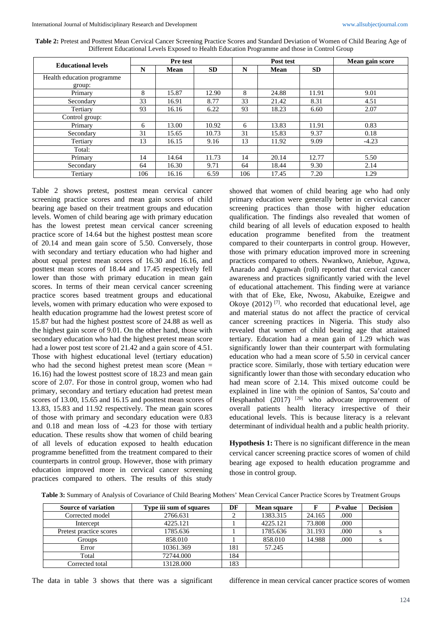| <b>Educational levels</b>  | <b>Pre test</b> |             |           | Post test |       |           | Mean gain score |
|----------------------------|-----------------|-------------|-----------|-----------|-------|-----------|-----------------|
|                            | N               | <b>Mean</b> | <b>SD</b> | N         | Mean  | <b>SD</b> |                 |
| Health education programme |                 |             |           |           |       |           |                 |
| group:                     |                 |             |           |           |       |           |                 |
| Primary                    | 8               | 15.87       | 12.90     | 8         | 24.88 | 11.91     | 9.01            |
| Secondary                  | 33              | 16.91       | 8.77      | 33        | 21.42 | 8.31      | 4.51            |
| Tertiary                   | 93              | 16.16       | 6.22      | 93        | 18.23 | 6.60      | 2.07            |
| Control group:             |                 |             |           |           |       |           |                 |
| Primary                    | 6               | 13.00       | 10.92     | 6         | 13.83 | 11.91     | 0.83            |
| Secondary                  | 31              | 15.65       | 10.73     | 31        | 15.83 | 9.37      | 0.18            |
| Tertiary                   | 13              | 16.15       | 9.16      | 13        | 11.92 | 9.09      | $-4.23$         |
| Total:                     |                 |             |           |           |       |           |                 |
| Primary                    | 14              | 14.64       | 11.73     | 14        | 20.14 | 12.77     | 5.50            |
| Secondary                  | 64              | 16.30       | 9.71      | 64        | 18.44 | 9.30      | 2.14            |
| Tertiary                   | 106             | 16.16       | 6.59      | 106       | 17.45 | 7.20      | 1.29            |

Table 2: Pretest and Posttest Mean Cervical Cancer Screening Practice Scores and Standard Deviation of Women of Child Bearing Age of Different Educational Levels Exposed to Health Education Programme and those in Control Group

Table 2 shows pretest, posttest mean cervical cancer screening practice scores and mean gain scores of child bearing age based on their treatment groups and education levels. Women of child bearing age with primary education has the lowest pretest mean cervical cancer screening practice score of 14.64 but the highest posttest mean score of 20.14 and mean gain score of 5.50. Conversely, those with secondary and tertiary education who had higher and about equal pretest mean scores of 16.30 and 16.16, and posttest mean scores of 18.44 and 17.45 respectively fell lower than those with primary education in mean gain scores. In terms of their mean cervical cancer screening practice scores based treatment groups and educational levels, women with primary education who were exposed to health education programme had the lowest pretest score of 15.87 but had the highest posttest score of 24.88 as well as the highest gain score of 9.01. On the other hand, those with secondary education who had the highest pretest mean score had a lower post test score of 21.42 and a gain score of 4.51. Those with highest educational level (tertiary education) who had the second highest pretest mean score (Mean = 16.16) had the lowest posttest score of 18.23 and mean gain score of 2.07. For those in control group, women who had primary, secondary and tertiary education had pretest mean scores of 13.00, 15.65 and 16.15 and posttest mean scores of 13.83, 15.83 and 11.92 respectively. The mean gain scores of those with primary and secondary education were 0.83 and 0.18 and mean loss of -4.23 for those with tertiary education. These results show that women of child bearing of all levels of education exposed to health education programme benefitted from the treatment compared to their counterparts in control group. However, those with primary education improved more in cervical cancer screening practices compared to others. The results of this study

showed that women of child bearing age who had only primary education were generally better in cervical cancer screening practices than those with higher education qualification. The findings also revealed that women of child bearing of all levels of education exposed to health education programme benefited from the treatment compared to their counterparts in control group. However, those with primary education improved more in screening practices compared to others. Nwankwo, Aniebue, Aguwa, Anarado and Agunwah (roll) reported that cervical cancer awareness and practices significantly varied with the level of educational attachement. This finding were at variance with that of Eke, Eke, Nwosu, Akabuike, Ezeigwe and Okoye  $(2012)$ <sup>[7]</sup>. who recorded that educational level, age and material status do not affect the practice of cervical cancer screening practices in Nigeria. This study also revealed that women of child bearing age that attained tertiary. Education had a mean gain of 1.29 which was significantly lower than their counterpart with formulating education who had a mean score of 5.50 in cervical cancer practice score. Similarly, those with tertiary education were significantly lower than those with secondary education who had mean score of 2.14. This mixed outcome could be explained in line with the opinion of Santos, Sa'couto and Hesphanhol (2017) <sup>[20]</sup> who advocate improvement of overall patients health literacy irrespective of their educational levels. This is because literacy is a relevant determinant of individual health and a public health priority.

**Hypothesis 1:** There is no significant difference in the mean cervical cancer screening practice scores of women of child bearing age exposed to health education programme and those in control group.

**Table 3:** Summary of Analysis of Covariance of Child Bearing Mothers' Mean Cervical Cancer Practice Scores by Treatment Groups

| <b>Source of variation</b> | Type iii sum of squares | DF  | <b>Mean square</b> |        | P-value | <b>Decision</b> |
|----------------------------|-------------------------|-----|--------------------|--------|---------|-----------------|
| Corrected model            | 2766.631                | ◠   | 1383.315           | 24.165 | .000    |                 |
| Intercept                  | 4225.121                |     | 4225.121           | 73.808 | .000    |                 |
| Pretest practice scores    | 1785.636                |     | 1785.636           | 31.193 | .000    |                 |
| Groups                     | 858.010                 |     | 858.010            | 14.988 | .000    |                 |
| Error                      | 10361.369               | 181 | 57.245             |        |         |                 |
| Total                      | 72744.000               | 184 |                    |        |         |                 |
| Corrected total            | 13128.000               | 183 |                    |        |         |                 |

The data in table 3 shows that there was a significant difference in mean cervical cancer practice scores of women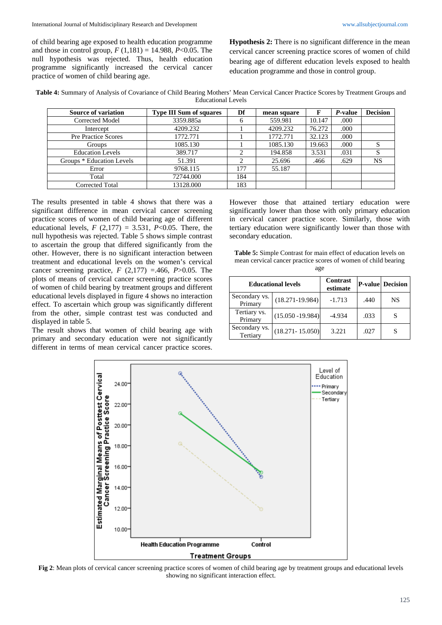of child bearing age exposed to health education programme and those in control group, *F* (1,181) = 14.988, *P*<0.05. The null hypothesis was rejected. Thus, health education programme significantly increased the cervical cancer practice of women of child bearing age.

**Hypothesis 2:** There is no significant difference in the mean cervical cancer screening practice scores of women of child bearing age of different education levels exposed to health education programme and those in control group.

**Table 4:** Summary of Analysis of Covariance of Child Bearing Mothers' Mean Cervical Cancer Practice Scores by Treatment Groups and Educational Levels

| Source of variation       | <b>Type III Sum of squares</b> | Df           | mean square | F      | <i>P</i> -value | <b>Decision</b> |
|---------------------------|--------------------------------|--------------|-------------|--------|-----------------|-----------------|
| Corrected Model           | 3359.885a                      | <sub>6</sub> | 559.981     | 10.147 | .000            |                 |
| Intercept                 | 4209.232                       |              | 4209.232    | 76.272 | .000            |                 |
| Pre Practice Scores       | 1772.771                       |              | 1772.771    | 32.123 | .000            |                 |
| Groups                    | 1085.130                       |              | 1085.130    | 19.663 | .000            | S               |
| <b>Education Levels</b>   | 389.717                        |              | 194.858     | 3.531  | .031            |                 |
| Groups * Education Levels | 51.391                         |              | 25.696      | .466   | .629            | <b>NS</b>       |
| Error                     | 9768.115                       | 177          | 55.187      |        |                 |                 |
| Total                     | 72744.000                      | 184          |             |        |                 |                 |
| Corrected Total           | 13128.000                      | 183          |             |        |                 |                 |

The results presented in table 4 shows that there was a significant difference in mean cervical cancer screening practice scores of women of child bearing age of different educational levels,  $F(2,177) = 3.531$ ,  $P<0.05$ . There, the null hypothesis was rejected. Table 5 shows simple contrast to ascertain the group that differed significantly from the other. However, there is no significant interaction between treatment and educational levels on the women's cervical cancer screening practice,  $F(2,177) = 0.466$ ,  $P > 0.05$ . The plots of means of cervical cancer screening practice scores of women of child bearing by treatment groups and different educational levels displayed in figure 4 shows no interaction effect. To ascertain which group was significantly different from the other, simple contrast test was conducted and displayed in table 5.

The result shows that women of child bearing age with primary and secondary education were not significantly different in terms of mean cervical cancer practice scores.

However those that attained tertiary education were significantly lower than those with only primary education in cervical cancer practice score. Similarly, those with tertiary education were significantly lower than those with secondary education.

| <b>Table 5:</b> Simple Contrast for main effect of education levels on |
|------------------------------------------------------------------------|
| mean cervical cancer practice scores of women of child bearing         |
| age                                                                    |

|                           | <b>Educational levels</b> | <b>Contrast</b><br>estimate |      | <b>P-value</b> Decision |  |
|---------------------------|---------------------------|-----------------------------|------|-------------------------|--|
| Secondary vs.<br>Primary  | $(18.271 - 19.984)$       | $-1.713$                    | .440 | NS                      |  |
| Tertiary vs.<br>Primary   | $(15.050 - 19.984)$       | $-4.934$                    | .033 | S                       |  |
| Secondary vs.<br>Tertiary | $(18.271 - 15.050)$       | 3.221                       | .027 | S                       |  |



**Fig 2**: Mean plots of cervical cancer screening practice scores of women of child bearing age by treatment groups and educational levels showing no significant interaction effect.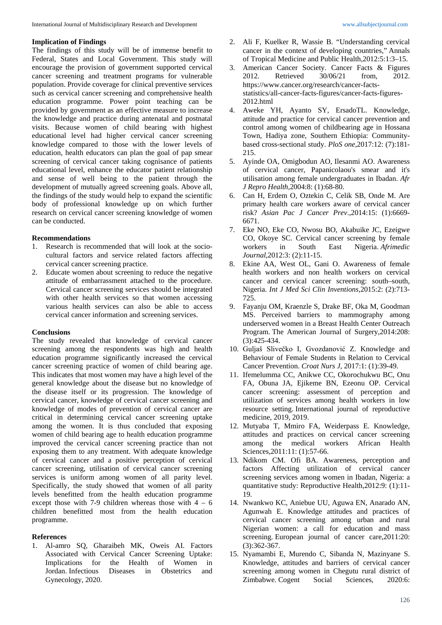## **Implication of Findings**

The findings of this study will be of immense benefit to Federal, States and Local Government. This study will encourage the provision of government supported cervical cancer screening and treatment programs for vulnerable population. Provide coverage for clinical preventive services such as cervical cancer screening and comprehensive health education programme. Power point teaching can be provided by government as an effective measure to increase the knowledge and practice during antenatal and postnatal visits. Because women of child bearing with highest educational level had higher cervical cancer screening knowledge compared to those with the lower levels of education, health educators can plan the goal of pap smear screening of cervical cancer taking cognisance of patients educational level, enhance the educator patient relationship and sense of well being to the patient through the development of mutually agreed screening goals. Above all, the findings of the study would help to expand the scientific body of professional knowledge up on which further research on cervical cancer screening knowledge of women can be conducted.

## **Recommendations**

- 1. Research is recommended that will look at the sociocultural factors and service related factors affecting cervical cancer screening practice.
- 2. Educate women about screening to reduce the negative attitude of embarrassment attached to the procedure. Cervical cancer screening services should be integrated with other health services so that women accessing various health services can also be able to access cervical cancer information and screening services.

#### **Conclusions**

The study revealed that knowledge of cervical cancer screening among the respondents was high and health education programme significantly increased the cervical cancer screening practice of women of child bearing age. This indicates that most women may have a high level of the general knowledge about the disease but no knowledge of the disease itself or its progression. The knowledge of cervical cancer, knowledge of cervical cancer screening and knowledge of modes of prevention of cervical cancer are critical in determining cervical cancer screening uptake among the women. It is thus concluded that exposing women of child bearing age to health education programme improved the cervical cancer screening practice than not exposing them to any treatment. With adequate knowledge of cervical cancer and a positive perception of cervical cancer screening, utilisation of cervical cancer screening services is uniform among women of all parity level. Specifically, the study showed that women of all parity levels benefitted from the health education programme except those with 7-9 children whereas those with  $4 - 6$ children benefitted most from the health education programme.

# **References**

1. Al-amro SQ, Gharaibeh MK, Oweis AI. Factors Associated with Cervical Cancer Screening Uptake: Implications for the Health of Women in Jordan. Infectious Diseases in Obstetrics and Gynecology, 2020.

- 2. Ali F, Kuelker R, Wassie B. "Understanding cervical cancer in the context of developing countries," Annals of Tropical Medicine and Public Health,2012:5:1:3–15.
- 3. American Cancer Society. Cancer Facts & Figures<br>2012. Retrieved 30/06/21 from. 2012. 2012. Retrieved 30/06/21 from, 2012. https://www.cancer.org/research/cancer-factsstatistics/all-cancer-facts-figures/cancer-facts-figures-2012.html
- 4. Aweke YH, Ayanto SY, ErsadoTL. Knowledge, attitude and practice for cervical cancer prevention and control among women of childbearing age in Hossana Town, Hadiya zone, Southern Ethiopia: Communitybased cross-sectional study. *PloS one*,2017:12: (7):181- 215.
- 5. Ayinde OA, Omigbodun AO, Ilesanmi AO. Awareness of cervical cancer, Papanicolaou's smear and it's utilisation among female undergraduates in Ibadan. *Afr J Repro Health*,2004:8: (1):68-80.
- 6. Can H, Erdem O, Oztekin C, Celik SB, Onde M. Are primary health care workers aware of cervical cancer risk? *Asian Pac J Cancer Prev*.,2014:15: (1):6669- 6671.
- 7. Eke NO, Eke CO, Nwosu BO, Akabuike JC, Ezeigwe CO, Okoye SC. Cervical cancer screening by female workers in South East Nigeria. *Afrimedic Journal*,2012:3: (2):11-15.
- 8. Ekine AA, West OL, Gani O. Awareness of female health workers and non health workers on cervical cancer and cervical cancer screening: south–south, Nigeria. *Int J Med Sci Clin Inventions*,2015:2: (2):713- 725.
- 9. Fayanju OM, Kraenzle S, Drake BF, Oka M, Goodman MS. Perceived barriers to mammography among underserved women in a Breast Health Center Outreach Program. The American Journal of Surgery,2014:208: (3):425-434.
- 10. Guljaš Slivečko I, Gvozdanović Z. Knowledge and Behaviour of Female Students in Relation to Cervical Cancer Prevention. *Croat Nurs J,* 2017:1: (1):39-49.
- 11. Ifemelumma CC, Anikwe CC, Okorochukwu BC, Onu FA, Obuna JA, Ejikeme BN, Ezeonu OP. Cervical cancer screening: assessment of perception and utilization of services among health workers in low resource setting. International journal of reproductive medicine, 2019, 2019.
- 12. Mutyaba T, Mmiro FA, Weiderpass E. Knowledge, attitudes and practices on cervical cancer screening among the medical workers African Health Sciences,2011:11: (1):57-66.
- 13. Ndikom CM. Ofi BA. Awareness, perception and factors Affecting utilization of cervical cancer screening services among women in Ibadan, Nigeria: a quantitative study: Reproductive Health,2012:9: (1):11- 19.
- 14. Nwankwo KC, Aniebue UU, Aguwa EN, Anarado AN, Agunwah E. Knowledge attitudes and practices of cervical cancer screening among urban and rural Nigerian women: a call for education and mass screening. European journal of cancer care, 2011:20: (3):362-367.
- 15. Nyamambi E, Murendo C, Sibanda N, Mazinyane S. Knowledge, attitudes and barriers of cervical cancer screening among women in Chegutu rural district of Zimbabwe. Cogent Social Sciences, 2020:6: